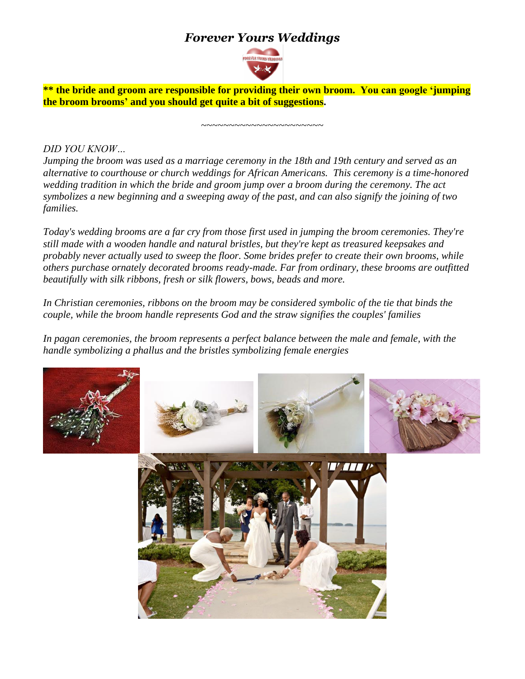# *Forever Yours Weddings*



**\*\* the bride and groom are responsible for providing their own broom. You can google 'jumping the broom brooms' and you should get quite a bit of suggestions.**

~~~~~~~~~~~~~~~~~~~~

*DID YOU KNOW…*

*Jumping the broom was used as a marriage ceremony in the 18th and 19th century and served as an alternative to courthouse or church weddings for African Americans. This ceremony is a time-honored wedding tradition in which the bride and groom jump over a broom during the ceremony. The act symbolizes a new beginning and a sweeping away of the past, and can also signify the joining of two families.*

*Today's wedding brooms are a far cry from those first used in jumping the broom ceremonies. They're still made with a wooden handle and natural bristles, but they're kept as treasured keepsakes and probably never actually used to sweep the floor. Some brides prefer to create their own brooms, while others purchase ornately decorated brooms ready-made. Far from ordinary, these brooms are outfitted beautifully with silk ribbons, fresh or silk flowers, bows, beads and more.*

*In Christian ceremonies, ribbons on the broom may be considered symbolic of the tie that binds the couple, while the broom handle represents God and the straw signifies the couples' families*

In pagan ceremonies, the broom represents a perfect balance between the male and female, with the *handle symbolizing a phallus and the bristles symbolizing female energies*

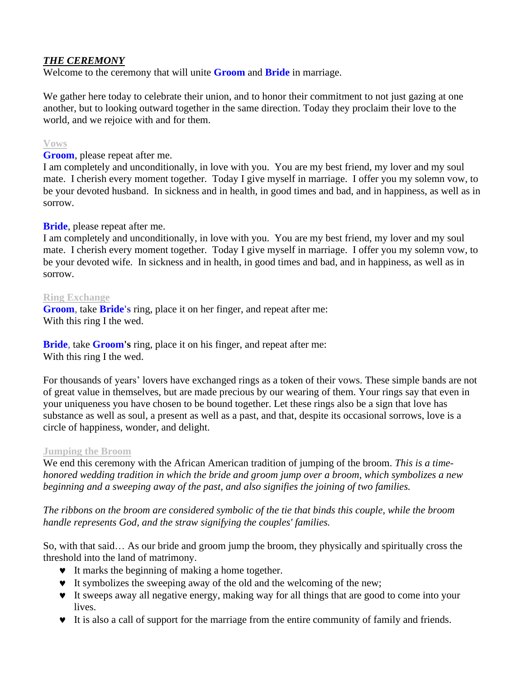## *THE CEREMONY*

Welcome to the ceremony that will unite **Groom** and **Bride** in marriage.

We gather here today to celebrate their union, and to honor their commitment to not just gazing at one another, but to looking outward together in the same direction. Today they proclaim their love to the world, and we rejoice with and for them.

## **Vows**

**Groom**, please repeat after me.

I am completely and unconditionally, in love with you. You are my best friend, my lover and my soul mate. I cherish every moment together. Today I give myself in marriage. I offer you my solemn vow, to be your devoted husband. In sickness and in health, in good times and bad, and in happiness, as well as in sorrow.

## **Bride**, please repeat after me.

I am completely and unconditionally, in love with you. You are my best friend, my lover and my soul mate. I cherish every moment together. Today I give myself in marriage. I offer you my solemn vow, to be your devoted wife. In sickness and in health, in good times and bad, and in happiness, as well as in sorrow.

### **Ring Exchange**

**Groom**, take **Bride's** ring, place it on her finger, and repeat after me: With this ring I the wed.

**Bride**, take **Groom's** ring, place it on his finger, and repeat after me: With this ring I the wed.

For thousands of years' lovers have exchanged rings as a token of their vows. These simple bands are not of great value in themselves, but are made precious by our wearing of them. Your rings say that even in your uniqueness you have chosen to be bound together. Let these rings also be a sign that love has substance as well as soul, a present as well as a past, and that, despite its occasional sorrows, love is a circle of happiness, wonder, and delight.

### **Jumping the Broom**

We end this ceremony with the African American tradition of jumping of the broom. *This is a timehonored wedding tradition in which the bride and groom jump over a broom, which symbolizes a new beginning and a sweeping away of the past, and also signifies the joining of two families.*

*The ribbons on the broom are considered symbolic of the tie that binds this couple, while the broom handle represents God, and the straw signifying the couples' families.* 

So, with that said… As our bride and groom jump the broom, they physically and spiritually cross the threshold into the land of matrimony.

- $\bullet$  It marks the beginning of making a home together.
- It symbolizes the sweeping away of the old and the welcoming of the new;
- It sweeps away all negative energy, making way for all things that are good to come into your lives.
- It is also a call of support for the marriage from the entire community of family and friends.